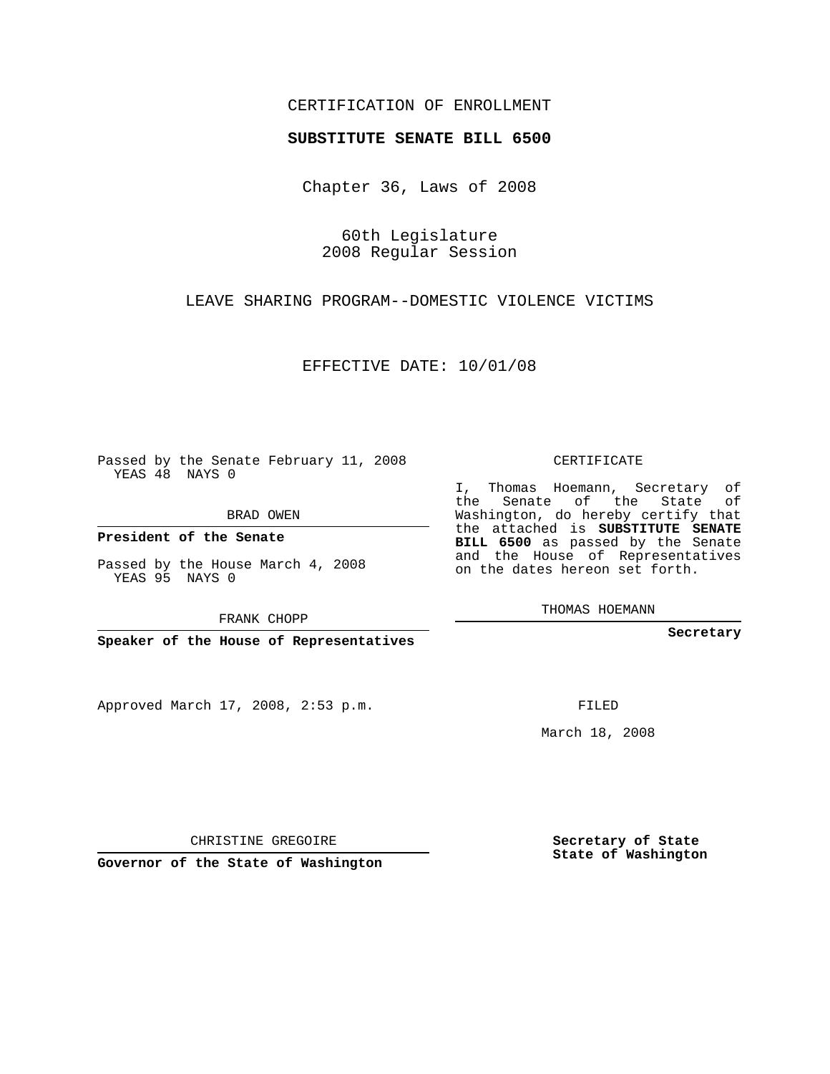## CERTIFICATION OF ENROLLMENT

## **SUBSTITUTE SENATE BILL 6500**

Chapter 36, Laws of 2008

60th Legislature 2008 Regular Session

LEAVE SHARING PROGRAM--DOMESTIC VIOLENCE VICTIMS

EFFECTIVE DATE: 10/01/08

Passed by the Senate February 11, 2008 YEAS 48 NAYS 0

BRAD OWEN

**President of the Senate**

Passed by the House March 4, 2008 YEAS 95 NAYS 0

FRANK CHOPP

**Speaker of the House of Representatives**

Approved March 17, 2008, 2:53 p.m.

CERTIFICATE

I, Thomas Hoemann, Secretary of the Senate of the State of Washington, do hereby certify that the attached is **SUBSTITUTE SENATE BILL 6500** as passed by the Senate and the House of Representatives on the dates hereon set forth.

THOMAS HOEMANN

**Secretary**

FILED

March 18, 2008

CHRISTINE GREGOIRE

**Governor of the State of Washington**

**Secretary of State State of Washington**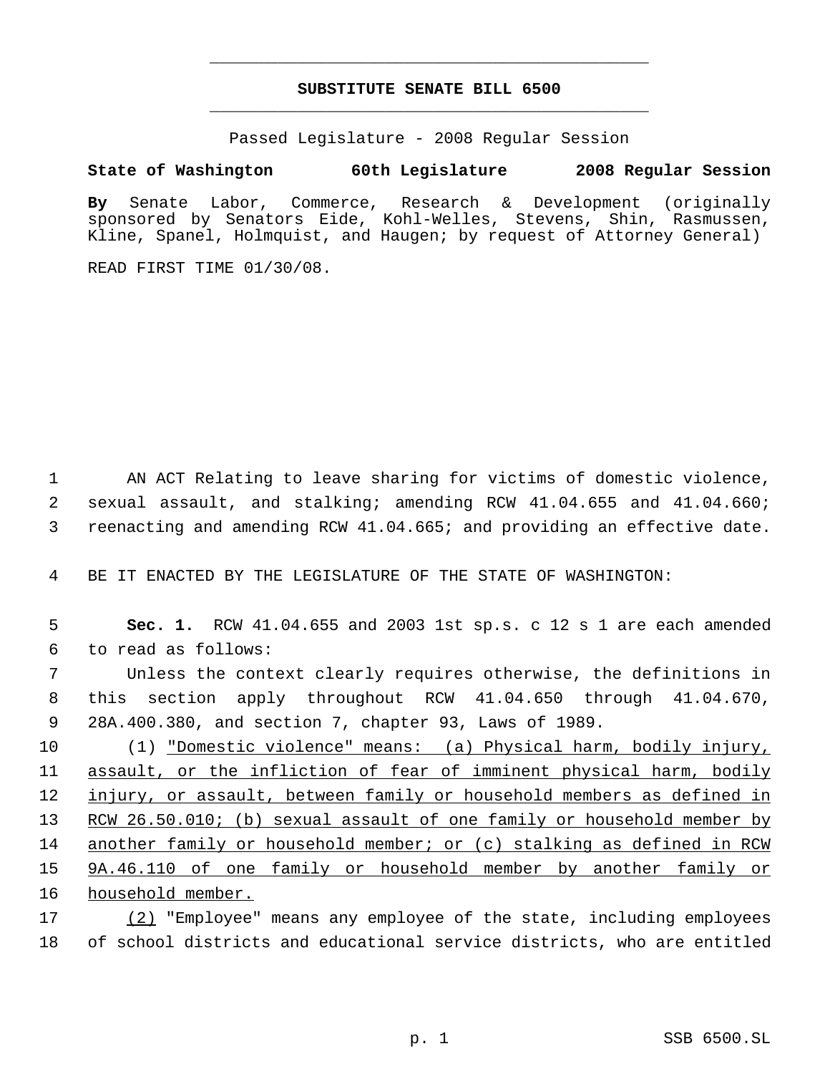## **SUBSTITUTE SENATE BILL 6500** \_\_\_\_\_\_\_\_\_\_\_\_\_\_\_\_\_\_\_\_\_\_\_\_\_\_\_\_\_\_\_\_\_\_\_\_\_\_\_\_\_\_\_\_\_

\_\_\_\_\_\_\_\_\_\_\_\_\_\_\_\_\_\_\_\_\_\_\_\_\_\_\_\_\_\_\_\_\_\_\_\_\_\_\_\_\_\_\_\_\_

Passed Legislature - 2008 Regular Session

## **State of Washington 60th Legislature 2008 Regular Session**

**By** Senate Labor, Commerce, Research & Development (originally sponsored by Senators Eide, Kohl-Welles, Stevens, Shin, Rasmussen, Kline, Spanel, Holmquist, and Haugen; by request of Attorney General)

READ FIRST TIME 01/30/08.

 1 AN ACT Relating to leave sharing for victims of domestic violence, 2 sexual assault, and stalking; amending RCW 41.04.655 and 41.04.660; 3 reenacting and amending RCW 41.04.665; and providing an effective date.

4 BE IT ENACTED BY THE LEGISLATURE OF THE STATE OF WASHINGTON:

| 5               | Sec. 1. RCW 41.04.655 and 2003 1st sp.s. c 12 s 1 are each amended     |
|-----------------|------------------------------------------------------------------------|
| 6               | to read as follows:                                                    |
| 7               | Unless the context clearly requires otherwise, the definitions in      |
| 8               | this section apply throughout RCW 41.04.650 through 41.04.670,         |
| 9               | 28A.400.380, and section 7, chapter 93, Laws of 1989.                  |
| 10 <sub>1</sub> | (1) "Domestic violence" means: (a) Physical harm, bodily injury,       |
| 11              | assault, or the infliction of fear of imminent physical harm, bodily   |
| 12 <sup>°</sup> | injury, or assault, between family or household members as defined in  |
| 13 <sup>7</sup> | RCW 26.50.010; (b) sexual assault of one family or household member by |
| 14              | another family or household member; or (c) stalking as defined in RCW  |

15 9A.46.110 of one family or household member by another family or 16 household member.

17 (2) "Employee" means any employee of the state, including employees 18 of school districts and educational service districts, who are entitled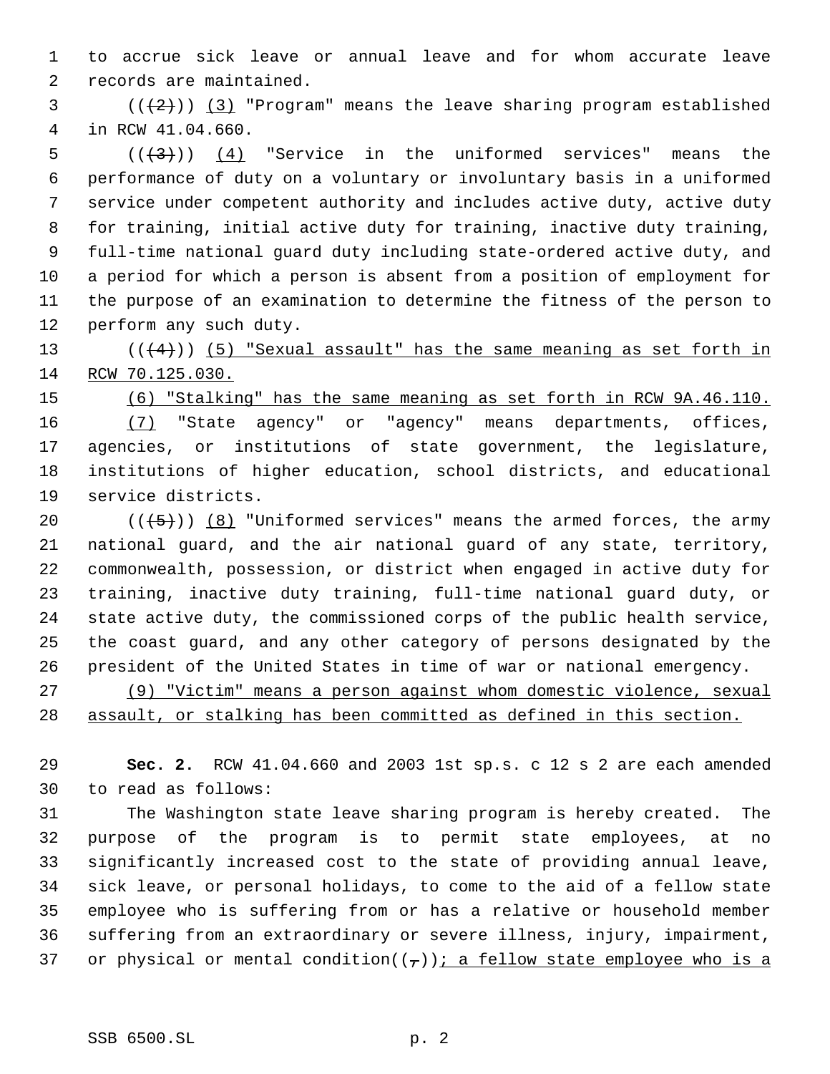to accrue sick leave or annual leave and for whom accurate leave records are maintained.

3  $((+2))$   $(3)$  "Program" means the leave sharing program established in RCW 41.04.660.

 $((+3))$   $(4)$  "Service in the uniformed services" means the performance of duty on a voluntary or involuntary basis in a uniformed service under competent authority and includes active duty, active duty for training, initial active duty for training, inactive duty training, full-time national guard duty including state-ordered active duty, and a period for which a person is absent from a position of employment for the purpose of an examination to determine the fitness of the person to perform any such duty.

13  $((4+))$  (5) "Sexual assault" has the same meaning as set forth in RCW 70.125.030.

 (6) "Stalking" has the same meaning as set forth in RCW 9A.46.110. (7) "State agency" or "agency" means departments, offices, agencies, or institutions of state government, the legislature, institutions of higher education, school districts, and educational service districts.

 $((+5))$  (8) "Uniformed services" means the armed forces, the army national guard, and the air national guard of any state, territory, commonwealth, possession, or district when engaged in active duty for training, inactive duty training, full-time national guard duty, or state active duty, the commissioned corps of the public health service, the coast guard, and any other category of persons designated by the president of the United States in time of war or national emergency.

 (9) "Victim" means a person against whom domestic violence, sexual assault, or stalking has been committed as defined in this section.

 **Sec. 2.** RCW 41.04.660 and 2003 1st sp.s. c 12 s 2 are each amended to read as follows:

 The Washington state leave sharing program is hereby created. The purpose of the program is to permit state employees, at no significantly increased cost to the state of providing annual leave, sick leave, or personal holidays, to come to the aid of a fellow state employee who is suffering from or has a relative or household member suffering from an extraordinary or severe illness, injury, impairment, 37 or physical or mental condition( $(\tau)$ ); a fellow state employee who is a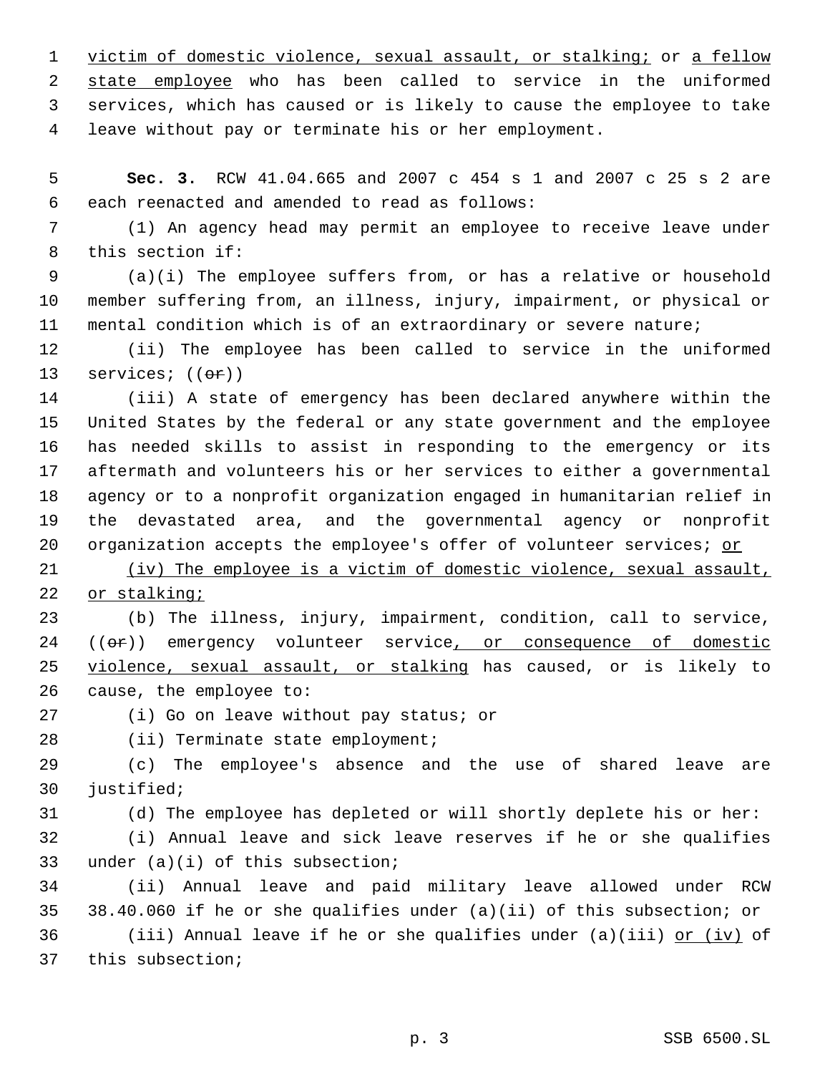1 victim of domestic violence, sexual assault, or stalking; or a fellow state employee who has been called to service in the uniformed services, which has caused or is likely to cause the employee to take leave without pay or terminate his or her employment.

 **Sec. 3.** RCW 41.04.665 and 2007 c 454 s 1 and 2007 c 25 s 2 are each reenacted and amended to read as follows:

 (1) An agency head may permit an employee to receive leave under this section if:

 (a)(i) The employee suffers from, or has a relative or household member suffering from, an illness, injury, impairment, or physical or mental condition which is of an extraordinary or severe nature;

 (ii) The employee has been called to service in the uniformed 13 services;  $((\theta \cdot \mathbf{r}))$ 

 (iii) A state of emergency has been declared anywhere within the United States by the federal or any state government and the employee has needed skills to assist in responding to the emergency or its aftermath and volunteers his or her services to either a governmental agency or to a nonprofit organization engaged in humanitarian relief in the devastated area, and the governmental agency or nonprofit organization accepts the employee's offer of volunteer services; or

 (iv) The employee is a victim of domestic violence, sexual assault, or stalking;

 (b) The illness, injury, impairment, condition, call to service, 24 ((or)) emergency volunteer service, or consequence of domestic 25 violence, sexual assault, or stalking has caused, or is likely to cause, the employee to:

(i) Go on leave without pay status; or

28 (ii) Terminate state employment;

 (c) The employee's absence and the use of shared leave are justified;

(d) The employee has depleted or will shortly deplete his or her:

 (i) Annual leave and sick leave reserves if he or she qualifies under (a)(i) of this subsection;

 (ii) Annual leave and paid military leave allowed under RCW 38.40.060 if he or she qualifies under (a)(ii) of this subsection; or 36 (iii) Annual leave if he or she qualifies under (a)(iii)  $or$  (iv) of this subsection;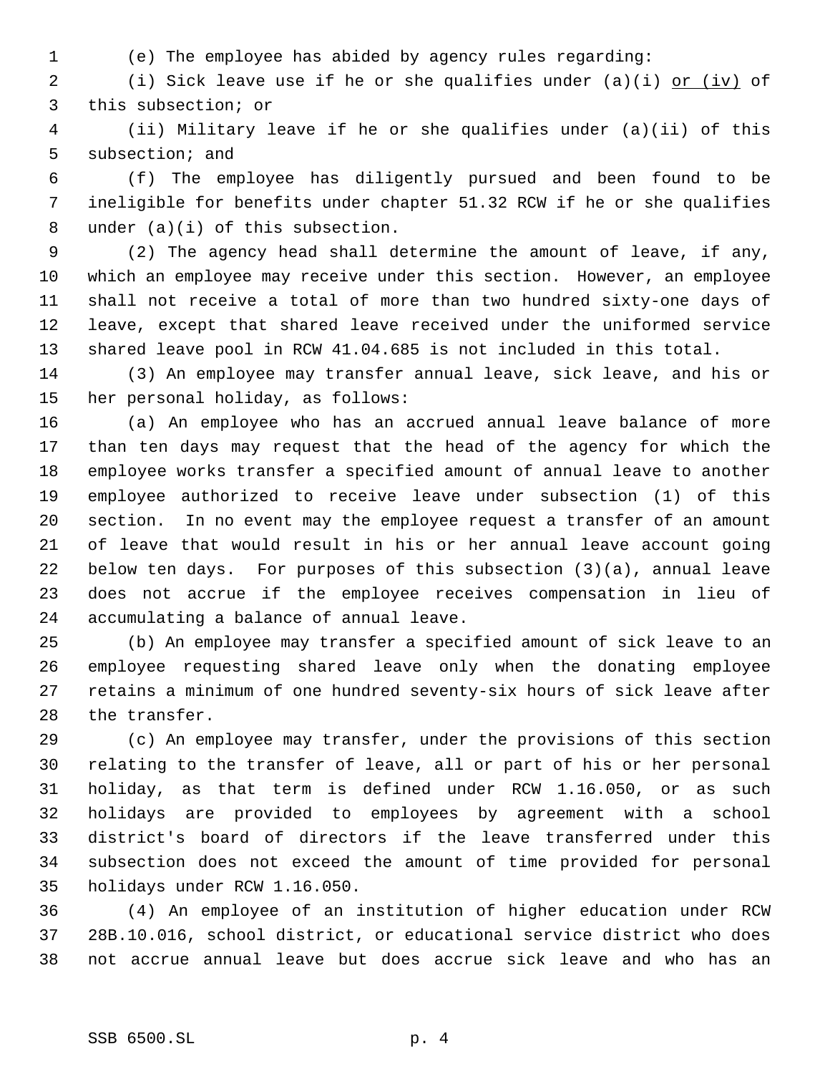- 
- (e) The employee has abided by agency rules regarding:

2 (i) Sick leave use if he or she qualifies under (a)(i) or (iv) of this subsection; or

 (ii) Military leave if he or she qualifies under (a)(ii) of this subsection; and

 (f) The employee has diligently pursued and been found to be ineligible for benefits under chapter 51.32 RCW if he or she qualifies under (a)(i) of this subsection.

 (2) The agency head shall determine the amount of leave, if any, which an employee may receive under this section. However, an employee shall not receive a total of more than two hundred sixty-one days of leave, except that shared leave received under the uniformed service shared leave pool in RCW 41.04.685 is not included in this total.

 (3) An employee may transfer annual leave, sick leave, and his or her personal holiday, as follows:

 (a) An employee who has an accrued annual leave balance of more than ten days may request that the head of the agency for which the employee works transfer a specified amount of annual leave to another employee authorized to receive leave under subsection (1) of this section. In no event may the employee request a transfer of an amount of leave that would result in his or her annual leave account going below ten days. For purposes of this subsection (3)(a), annual leave does not accrue if the employee receives compensation in lieu of accumulating a balance of annual leave.

 (b) An employee may transfer a specified amount of sick leave to an employee requesting shared leave only when the donating employee retains a minimum of one hundred seventy-six hours of sick leave after the transfer.

 (c) An employee may transfer, under the provisions of this section relating to the transfer of leave, all or part of his or her personal holiday, as that term is defined under RCW 1.16.050, or as such holidays are provided to employees by agreement with a school district's board of directors if the leave transferred under this subsection does not exceed the amount of time provided for personal holidays under RCW 1.16.050.

 (4) An employee of an institution of higher education under RCW 28B.10.016, school district, or educational service district who does not accrue annual leave but does accrue sick leave and who has an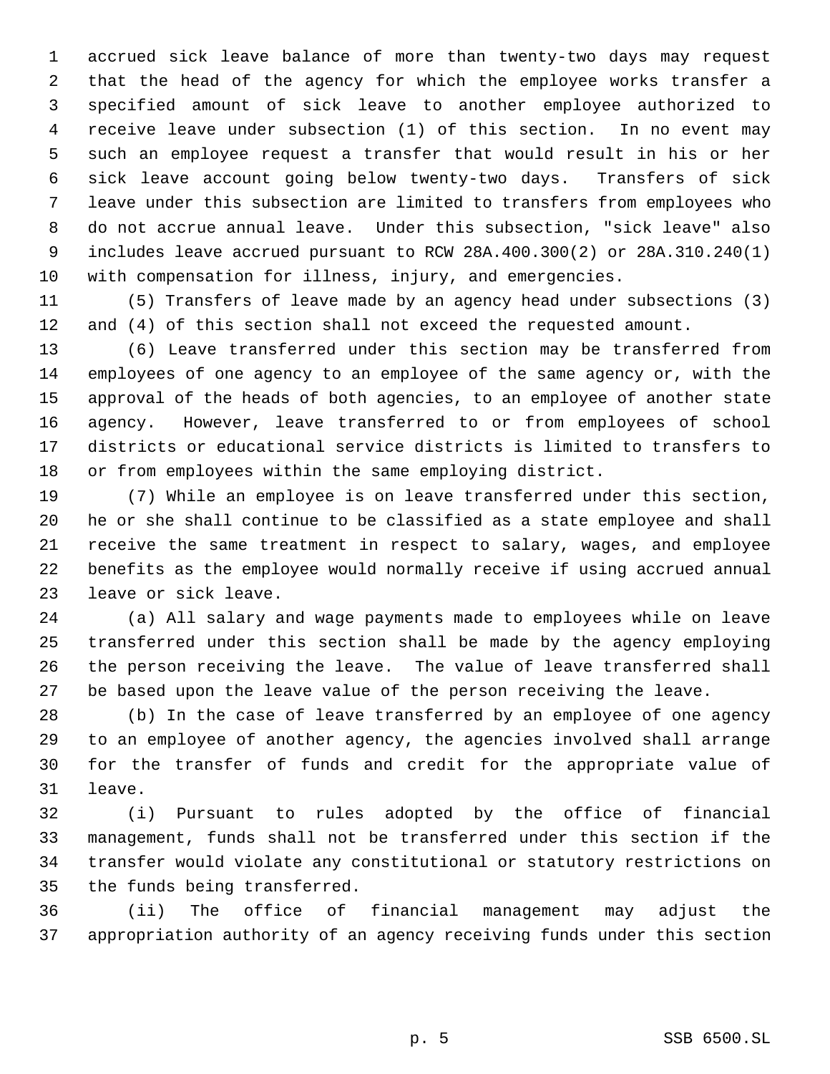accrued sick leave balance of more than twenty-two days may request that the head of the agency for which the employee works transfer a specified amount of sick leave to another employee authorized to receive leave under subsection (1) of this section. In no event may such an employee request a transfer that would result in his or her sick leave account going below twenty-two days. Transfers of sick leave under this subsection are limited to transfers from employees who do not accrue annual leave. Under this subsection, "sick leave" also includes leave accrued pursuant to RCW 28A.400.300(2) or 28A.310.240(1) with compensation for illness, injury, and emergencies.

 (5) Transfers of leave made by an agency head under subsections (3) and (4) of this section shall not exceed the requested amount.

 (6) Leave transferred under this section may be transferred from employees of one agency to an employee of the same agency or, with the approval of the heads of both agencies, to an employee of another state agency. However, leave transferred to or from employees of school districts or educational service districts is limited to transfers to or from employees within the same employing district.

 (7) While an employee is on leave transferred under this section, he or she shall continue to be classified as a state employee and shall receive the same treatment in respect to salary, wages, and employee benefits as the employee would normally receive if using accrued annual leave or sick leave.

 (a) All salary and wage payments made to employees while on leave transferred under this section shall be made by the agency employing the person receiving the leave. The value of leave transferred shall be based upon the leave value of the person receiving the leave.

 (b) In the case of leave transferred by an employee of one agency to an employee of another agency, the agencies involved shall arrange for the transfer of funds and credit for the appropriate value of leave.

 (i) Pursuant to rules adopted by the office of financial management, funds shall not be transferred under this section if the transfer would violate any constitutional or statutory restrictions on the funds being transferred.

 (ii) The office of financial management may adjust the appropriation authority of an agency receiving funds under this section